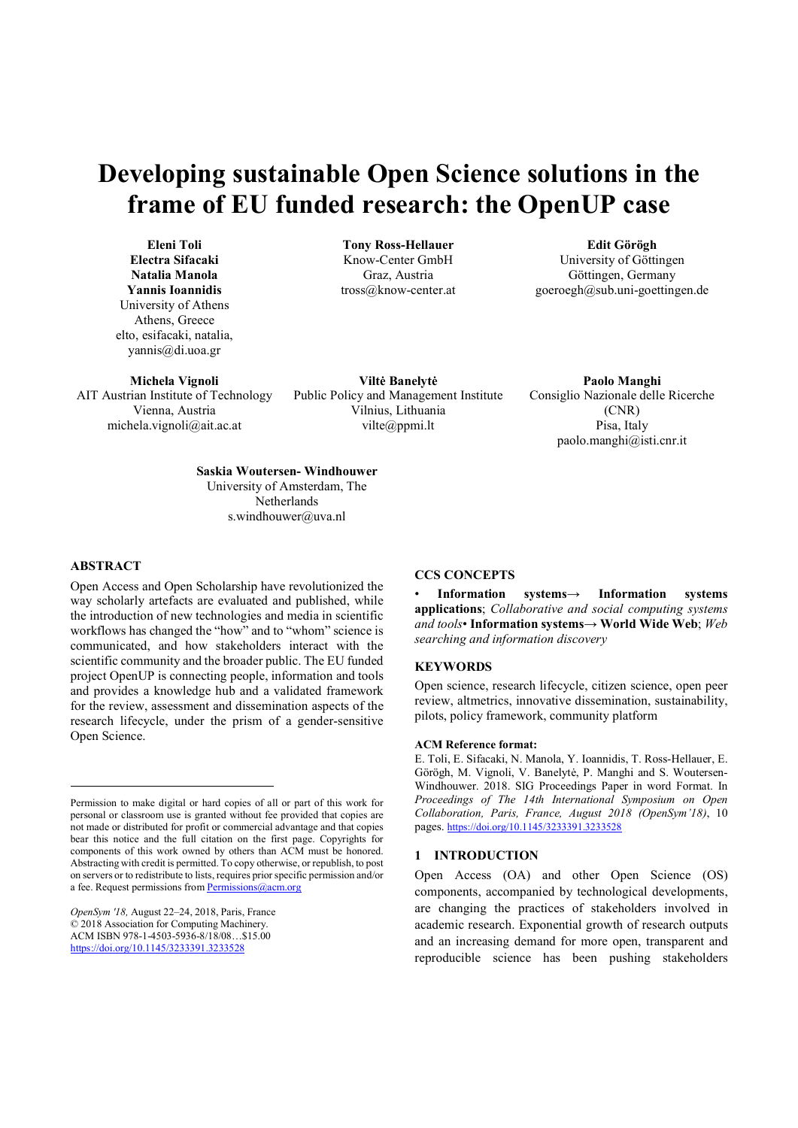# Developing sustainable Open Science solutions in the frame of EU funded research: the OpenUP case

Tony Ross-Hellauer Know-Center GmbH Graz, Austria tross@know-center.at

Eleni Toli Electra Sifacaki Natalia Manola Yannis Ioannidis University of Athens Athens, Greece elto, esifacaki, natalia, yannis@di.uoa.gr

Michela Vignoli AIT Austrian Institute of Technology Vienna, Austria michela.vignoli@ait.ac.at

Viltė Banelytė

Vilnius, Lithuania vilte@ppmi.lt

Public Policy and Management Institute Paolo Manghi Consiglio Nazionale delle Ricerche (CNR) Pisa, Italy paolo.manghi@isti.cnr.it

Edit Görögh University of Göttingen Göttingen, Germany goeroegh@sub.uni-goettingen.de

Saskia Woutersen- Windhouwer University of Amsterdam, The **Netherlands** s.windhouwer@uva.nl

### ABSTRACT

Open Access and Open Scholarship have revolutionized the way scholarly artefacts are evaluated and published, while the introduction of new technologies and media in scientific workflows has changed the "how" and to "whom" science is communicated, and how stakeholders interact with the scientific community and the broader public. The EU funded project OpenUP is connecting people, information and tools and provides a knowledge hub and a validated framework for the review, assessment and dissemination aspects of the research lifecycle, under the prism of a gender-sensitive Open Science.

OpenSym '18, August 22–24, 2018, Paris, France © 2018 Association for Computing Machinery. ACM ISBN 978-1-4503-5936-8/18/08…\$15.00 https://doi.org/10.1145/3233391.3233528

## CCS CONCEPTS

• Information systems→ Information systems applications; Collaborative and social computing systems and tools• Information systems→ World Wide Web; Web searching and information discovery

## **KEYWORDS**

Open science, research lifecycle, citizen science, open peer review, altmetrics, innovative dissemination, sustainability, pilots, policy framework, community platform

#### ACM Reference format:

E. Toli, E. Sifacaki, N. Manola, Y. Ioannidis, T. Ross-Hellauer, E. Görögh, M. Vignoli, V. Banelytė, P. Manghi and S. Woutersen-Windhouwer. 2018. SIG Proceedings Paper in word Format. In Proceedings of The 14th International Symposium on Open Collaboration, Paris, France, August 2018 (OpenSym'18), 10 pages. https://doi.org/10.1145/3233391.3233528

### 1 INTRODUCTION

Open Access (OA) and other Open Science (OS) components, accompanied by technological developments, are changing the practices of stakeholders involved in academic research. Exponential growth of research outputs and an increasing demand for more open, transparent and reproducible science has been pushing stakeholders

Permission to make digital or hard copies of all or part of this work for personal or classroom use is granted without fee provided that copies are not made or distributed for profit or commercial advantage and that copies bear this notice and the full citation on the first page. Copyrights for components of this work owned by others than ACM must be honored. Abstracting with credit is permitted. To copy otherwise, or republish, to post on servers or to redistribute to lists, requires prior specific permission and/or a fee. Request permissions from Permission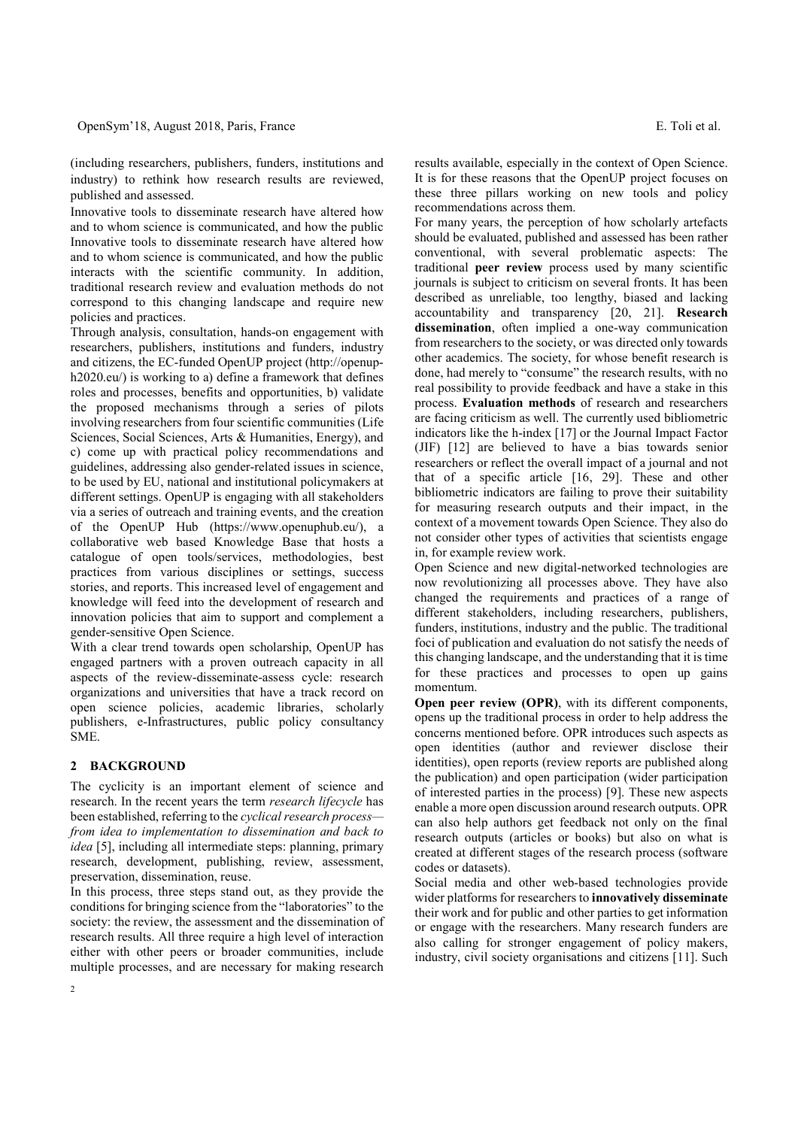(including researchers, publishers, funders, institutions and industry) to rethink how research results are reviewed, published and assessed.

Innovative tools to disseminate research have altered how and to whom science is communicated, and how the public Innovative tools to disseminate research have altered how and to whom science is communicated, and how the public interacts with the scientific community. In addition, traditional research review and evaluation methods do not correspond to this changing landscape and require new policies and practices.

Through analysis, consultation, hands-on engagement with researchers, publishers, institutions and funders, industry and citizens, the EC-funded OpenUP project (http://openuph2020.eu/) is working to a) define a framework that defines roles and processes, benefits and opportunities, b) validate the proposed mechanisms through a series of pilots involving researchers from four scientific communities (Life Sciences, Social Sciences, Arts & Humanities, Energy), and c) come up with practical policy recommendations and guidelines, addressing also gender-related issues in science, to be used by EU, national and institutional policymakers at different settings. OpenUP is engaging with all stakeholders via a series of outreach and training events, and the creation of the OpenUP Hub (https://www.openuphub.eu/), a collaborative web based Knowledge Base that hosts a catalogue of open tools/services, methodologies, best practices from various disciplines or settings, success stories, and reports. This increased level of engagement and knowledge will feed into the development of research and innovation policies that aim to support and complement a gender-sensitive Open Science.

With a clear trend towards open scholarship, OpenUP has engaged partners with a proven outreach capacity in all aspects of the review-disseminate-assess cycle: research organizations and universities that have a track record on open science policies, academic libraries, scholarly publishers, e-Infrastructures, public policy consultancy SME.

#### 2 BACKGROUND

The cyclicity is an important element of science and research. In the recent years the term research lifecycle has been established, referring to the cyclical research process from idea to implementation to dissemination and back to idea [5], including all intermediate steps: planning, primary research, development, publishing, review, assessment, preservation, dissemination, reuse.

In this process, three steps stand out, as they provide the conditions for bringing science from the "laboratories" to the society: the review, the assessment and the dissemination of research results. All three require a high level of interaction either with other peers or broader communities, include multiple processes, and are necessary for making research results available, especially in the context of Open Science. It is for these reasons that the OpenUP project focuses on these three pillars working on new tools and policy recommendations across them.

For many years, the perception of how scholarly artefacts should be evaluated, published and assessed has been rather conventional, with several problematic aspects: The traditional peer review process used by many scientific journals is subject to criticism on several fronts. It has been described as unreliable, too lengthy, biased and lacking accountability and transparency [20, 21]. Research dissemination, often implied a one-way communication from researchers to the society, or was directed only towards other academics. The society, for whose benefit research is done, had merely to "consume" the research results, with no real possibility to provide feedback and have a stake in this process. Evaluation methods of research and researchers are facing criticism as well. The currently used bibliometric indicators like the h-index [17] or the Journal Impact Factor (JIF) [12] are believed to have a bias towards senior researchers or reflect the overall impact of a journal and not that of a specific article [16, 29]. These and other bibliometric indicators are failing to prove their suitability for measuring research outputs and their impact, in the context of a movement towards Open Science. They also do not consider other types of activities that scientists engage in, for example review work.

Open Science and new digital-networked technologies are now revolutionizing all processes above. They have also changed the requirements and practices of a range of different stakeholders, including researchers, publishers, funders, institutions, industry and the public. The traditional foci of publication and evaluation do not satisfy the needs of this changing landscape, and the understanding that it is time for these practices and processes to open up gains momentum.

Open peer review (OPR), with its different components, opens up the traditional process in order to help address the concerns mentioned before. OPR introduces such aspects as open identities (author and reviewer disclose their identities), open reports (review reports are published along the publication) and open participation (wider participation of interested parties in the process) [9]. These new aspects enable a more open discussion around research outputs. OPR can also help authors get feedback not only on the final research outputs (articles or books) but also on what is created at different stages of the research process (software codes or datasets).

Social media and other web-based technologies provide wider platforms for researchers to innovatively disseminate their work and for public and other parties to get information or engage with the researchers. Many research funders are also calling for stronger engagement of policy makers, industry, civil society organisations and citizens [11]. Such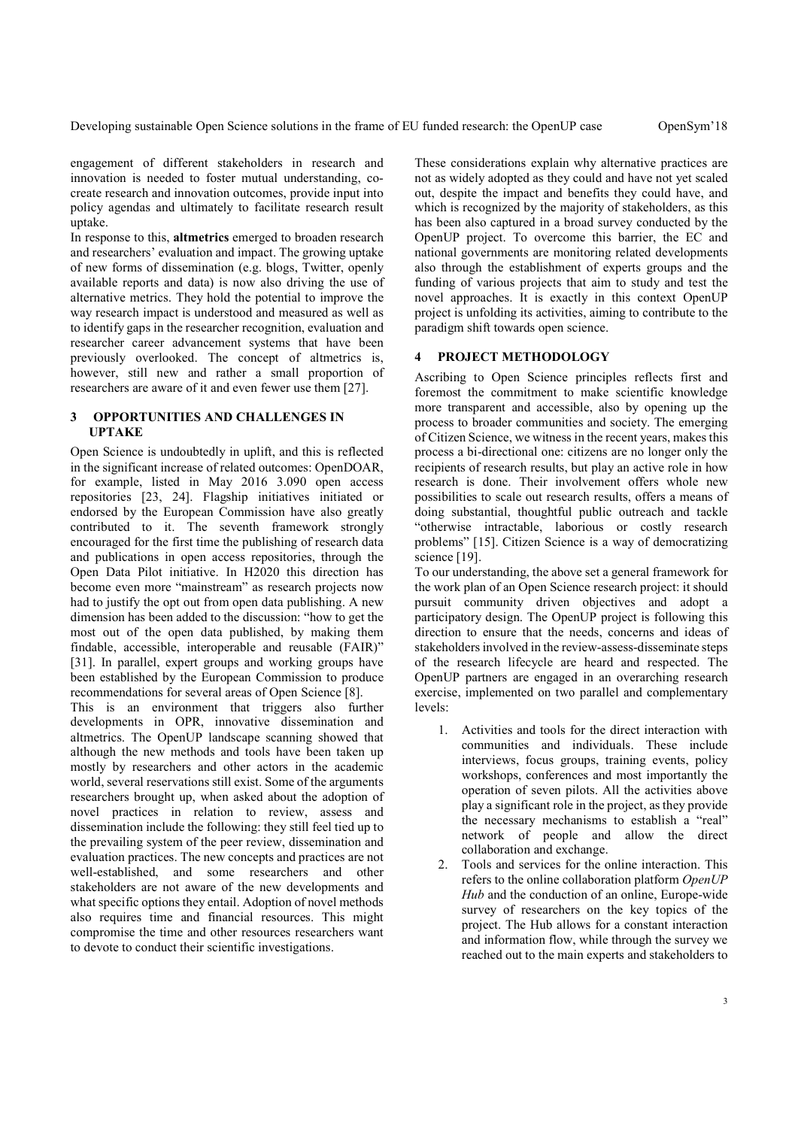engagement of different stakeholders in research and innovation is needed to foster mutual understanding, cocreate research and innovation outcomes, provide input into policy agendas and ultimately to facilitate research result uptake.

In response to this, altmetrics emerged to broaden research and researchers' evaluation and impact. The growing uptake of new forms of dissemination (e.g. blogs, Twitter, openly available reports and data) is now also driving the use of alternative metrics. They hold the potential to improve the way research impact is understood and measured as well as to identify gaps in the researcher recognition, evaluation and researcher career advancement systems that have been previously overlooked. The concept of altmetrics is, however, still new and rather a small proportion of researchers are aware of it and even fewer use them [27].

## 3 OPPORTUNITIES AND CHALLENGES IN UPTAKE

Open Science is undoubtedly in uplift, and this is reflected in the significant increase of related outcomes: OpenDOAR, for example, listed in May 2016 3.090 open access repositories [23, 24]. Flagship initiatives initiated or endorsed by the European Commission have also greatly contributed to it. The seventh framework strongly encouraged for the first time the publishing of research data and publications in open access repositories, through the Open Data Pilot initiative. In H2020 this direction has become even more "mainstream" as research projects now had to justify the opt out from open data publishing. A new dimension has been added to the discussion: "how to get the most out of the open data published, by making them findable, accessible, interoperable and reusable (FAIR)" [31]. In parallel, expert groups and working groups have been established by the European Commission to produce recommendations for several areas of Open Science [8].

This is an environment that triggers also further developments in OPR, innovative dissemination and altmetrics. The OpenUP landscape scanning showed that although the new methods and tools have been taken up mostly by researchers and other actors in the academic world, several reservations still exist. Some of the arguments researchers brought up, when asked about the adoption of novel practices in relation to review, assess and dissemination include the following: they still feel tied up to the prevailing system of the peer review, dissemination and evaluation practices. The new concepts and practices are not well-established, and some researchers and other stakeholders are not aware of the new developments and what specific options they entail. Adoption of novel methods also requires time and financial resources. This might compromise the time and other resources researchers want to devote to conduct their scientific investigations.

These considerations explain why alternative practices are not as widely adopted as they could and have not yet scaled out, despite the impact and benefits they could have, and which is recognized by the majority of stakeholders, as this has been also captured in a broad survey conducted by the OpenUP project. To overcome this barrier, the EC and national governments are monitoring related developments also through the establishment of experts groups and the funding of various projects that aim to study and test the novel approaches. It is exactly in this context OpenUP project is unfolding its activities, aiming to contribute to the paradigm shift towards open science.

#### PROJECT METHODOLOGY

Ascribing to Open Science principles reflects first and foremost the commitment to make scientific knowledge more transparent and accessible, also by opening up the process to broader communities and society. The emerging of Citizen Science, we witness in the recent years, makes this process a bi-directional one: citizens are no longer only the recipients of research results, but play an active role in how research is done. Their involvement offers whole new possibilities to scale out research results, offers a means of doing substantial, thoughtful public outreach and tackle "otherwise intractable, laborious or costly research problems" [15]. Citizen Science is a way of democratizing science [19].

To our understanding, the above set a general framework for the work plan of an Open Science research project: it should pursuit community driven objectives and adopt a participatory design. The OpenUP project is following this direction to ensure that the needs, concerns and ideas of stakeholders involved in the review-assess-disseminate steps of the research lifecycle are heard and respected. The OpenUP partners are engaged in an overarching research exercise, implemented on two parallel and complementary levels:

- 1. Activities and tools for the direct interaction with communities and individuals. These include interviews, focus groups, training events, policy workshops, conferences and most importantly the operation of seven pilots. All the activities above play a significant role in the project, as they provide the necessary mechanisms to establish a "real" network of people and allow the direct collaboration and exchange.
- 2. Tools and services for the online interaction. This refers to the online collaboration platform OpenUP Hub and the conduction of an online, Europe-wide survey of researchers on the key topics of the project. The Hub allows for a constant interaction and information flow, while through the survey we reached out to the main experts and stakeholders to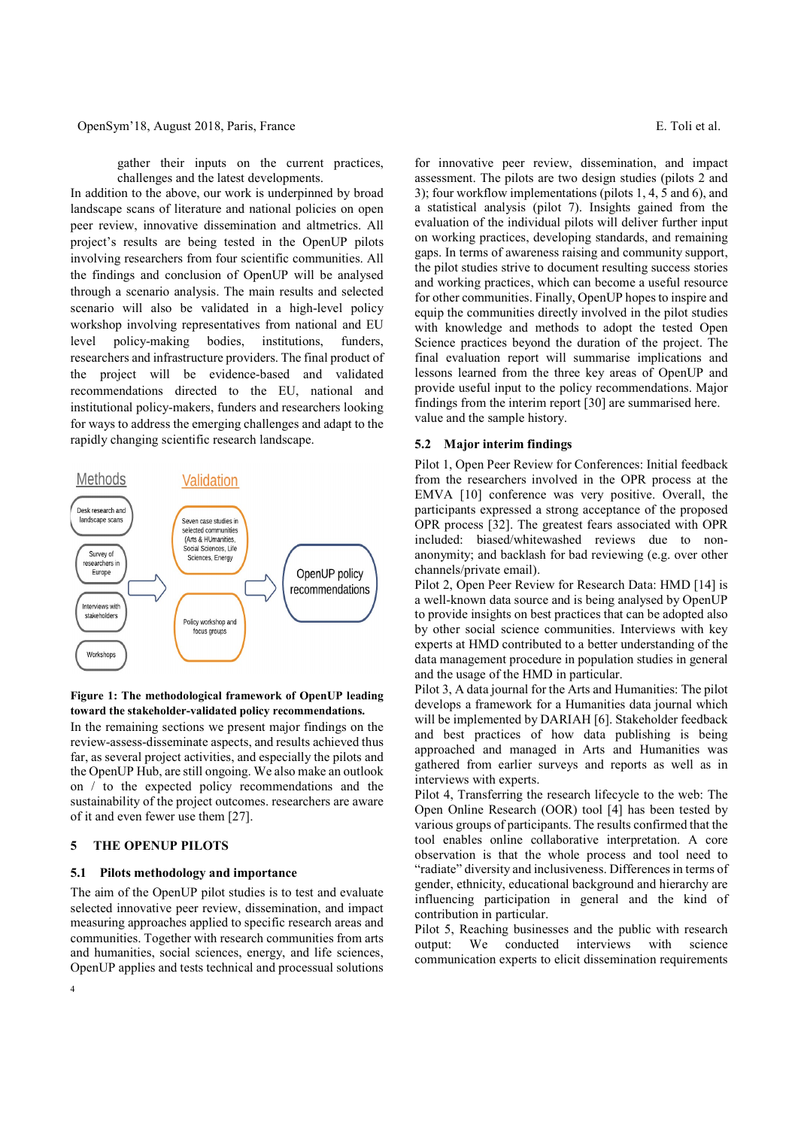gather their inputs on the current practices, challenges and the latest developments.

In addition to the above, our work is underpinned by broad landscape scans of literature and national policies on open peer review, innovative dissemination and altmetrics. All project's results are being tested in the OpenUP pilots involving researchers from four scientific communities. All the findings and conclusion of OpenUP will be analysed through a scenario analysis. The main results and selected scenario will also be validated in a high-level policy workshop involving representatives from national and EU level policy-making bodies, institutions, funders, researchers and infrastructure providers. The final product of the project will be evidence-based and validated recommendations directed to the EU, national and institutional policy-makers, funders and researchers looking for ways to address the emerging challenges and adapt to the rapidly changing scientific research landscape.



Figure 1: The methodological framework of OpenUP leading toward the stakeholder-validated policy recommendations.

In the remaining sections we present major findings on the review-assess-disseminate aspects, and results achieved thus far, as several project activities, and especially the pilots and the OpenUP Hub, are still ongoing. We also make an outlook on / to the expected policy recommendations and the sustainability of the project outcomes. researchers are aware of it and even fewer use them [27].

#### 5 THE OPENUP PILOTS

#### 5.1 Pilots methodology and importance

The aim of the OpenUP pilot studies is to test and evaluate selected innovative peer review, dissemination, and impact measuring approaches applied to specific research areas and communities. Together with research communities from arts and humanities, social sciences, energy, and life sciences, OpenUP applies and tests technical and processual solutions

for innovative peer review, dissemination, and impact assessment. The pilots are two design studies (pilots 2 and 3); four workflow implementations (pilots 1, 4, 5 and 6), and a statistical analysis (pilot 7). Insights gained from the evaluation of the individual pilots will deliver further input on working practices, developing standards, and remaining gaps. In terms of awareness raising and community support, the pilot studies strive to document resulting success stories and working practices, which can become a useful resource for other communities. Finally, OpenUP hopes to inspire and equip the communities directly involved in the pilot studies with knowledge and methods to adopt the tested Open Science practices beyond the duration of the project. The final evaluation report will summarise implications and lessons learned from the three key areas of OpenUP and provide useful input to the policy recommendations. Major findings from the interim report [30] are summarised here. value and the sample history.

#### 5.2 Major interim findings

Pilot 1, Open Peer Review for Conferences: Initial feedback from the researchers involved in the OPR process at the EMVA [10] conference was very positive. Overall, the participants expressed a strong acceptance of the proposed OPR process [32]. The greatest fears associated with OPR included: biased/whitewashed reviews due to nonanonymity; and backlash for bad reviewing (e.g. over other channels/private email).

Pilot 2, Open Peer Review for Research Data: HMD [14] is a well-known data source and is being analysed by OpenUP to provide insights on best practices that can be adopted also by other social science communities. Interviews with key experts at HMD contributed to a better understanding of the data management procedure in population studies in general and the usage of the HMD in particular.

Pilot 3, A data journal for the Arts and Humanities: The pilot develops a framework for a Humanities data journal which will be implemented by DARIAH [6]. Stakeholder feedback and best practices of how data publishing is being approached and managed in Arts and Humanities was gathered from earlier surveys and reports as well as in interviews with experts.

Pilot 4, Transferring the research lifecycle to the web: The Open Online Research (OOR) tool [4] has been tested by various groups of participants. The results confirmed that the tool enables online collaborative interpretation. A core observation is that the whole process and tool need to "radiate" diversity and inclusiveness. Differences in terms of gender, ethnicity, educational background and hierarchy are influencing participation in general and the kind of contribution in particular.

Pilot 5, Reaching businesses and the public with research output: We conducted interviews with science communication experts to elicit dissemination requirements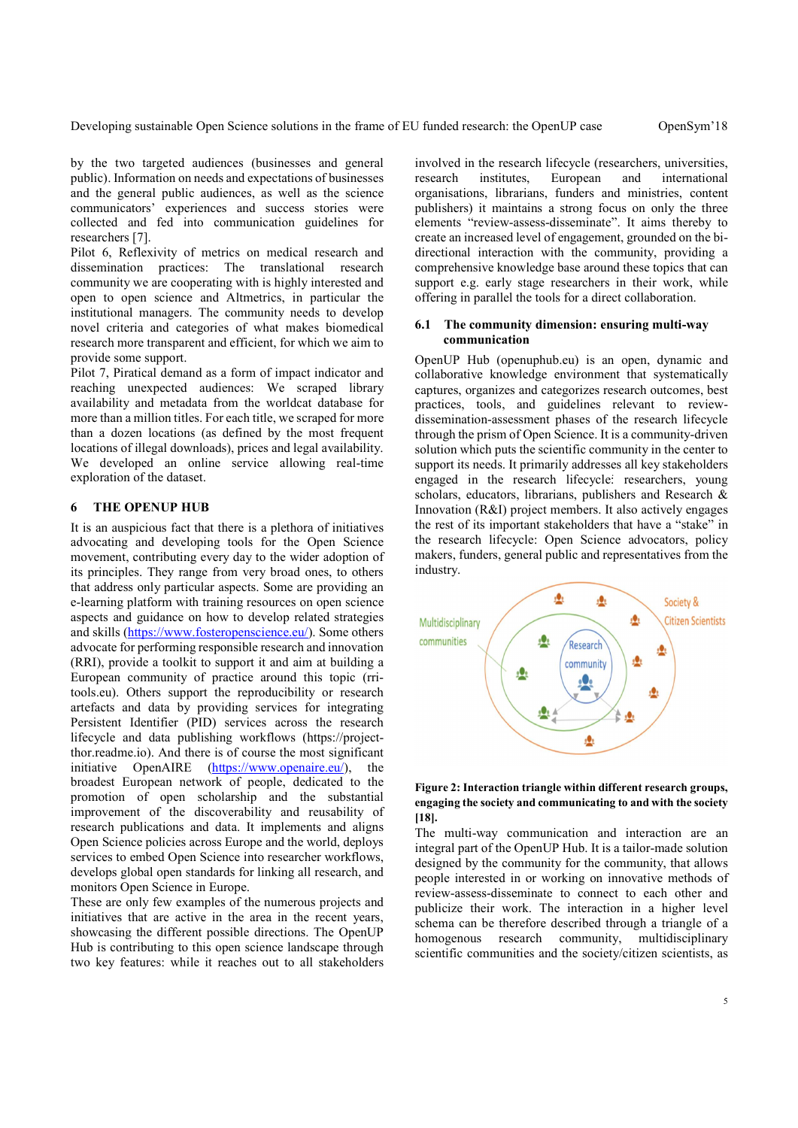Developing sustainable Open Science solutions in the frame of EU funded research: the OpenUP case OpenSym'18

by the two targeted audiences (businesses and general public). Information on needs and expectations of businesses and the general public audiences, as well as the science communicators' experiences and success stories were collected and fed into communication guidelines for researchers [7].

Pilot 6, Reflexivity of metrics on medical research and dissemination practices: The translational research community we are cooperating with is highly interested and open to open science and Altmetrics, in particular the institutional managers. The community needs to develop<br>next of the matter higher higher distribution of 1 novel criteria and categories of what makes biomedical research more transparent and efficient, for which we aim to provide some support.

Pilot 7, Piratical demand as a form of impact indicator and reaching unexpected audiences: We scraped library availability and metadata from the worldcat database for more than a million titles. For each title, we scraped for more than a dozen locations (as defined by the most frequent locations of illegal downloads), prices and legal availability. We developed an online service allowing real-time exploration of the dataset.

## 6 THE OPENUP HUB

It is an auspicious fact that there is a plethora of initiatives advocating and developing tools for the Open Science movement, contributing every day to the wider adoption of its principles. They range from very broad ones, to others that address only particular aspects. Some are providing an e-learning platform with training resources on open science aspects and guidance on how to develop related strategies Multidisciplinary and skills (https://www.fosteropenscience.eu/). Some others communities advocate for performing responsible research and innovation (RRI), provide a toolkit to support it and aim at building a European community of practice around this topic (rritools.eu). Others support the reproducibility or research artefacts and data by providing services for integrating Persistent Identifier (PID) services across the research lifecycle and data publishing workflows (https://projectthor.readme.io). And there is of course the most significant initiative OpenAIRE (https://www.openaire.eu/), the broadest European network of people, dedicated to the promotion of open scholarship and the substantial improvement of the discoverability and reusability of research publications and data. It implements and aligns Open Science policies across Europe and the world, deploys services to embed Open Science into researcher workflows, develops global open standards for linking all research, and monitors Open Science in Europe.

These are only few examples of the numerous projects and initiatives that are active in the area in the recent years, showcasing the different possible directions. The OpenUP homogenous research Hub is contributing to this open science landscape through two key features: while it reaches out to all stakeholders

involved in the research lifecycle (researchers, universities, European and international organisations, librarians, funders and ministries, content publishers) it maintains a strong focus on only the three elements "review-assess-disseminate". It aims thereby to create an increased level of engagement, grounded on the bidirectional interaction with the community, providing a comprehensive knowledge base around these topics that can support e.g. early stage researchers in their work, while offering in parallel the tools for a direct collaboration.

#### The community dimension: ensuring multi-way communication

OpenUP Hub (openuphub.eu) is an open, dynamic and collaborative knowledge environment that systematically captures, organizes and categorizes research outcomes, best practices, tools, and guidelines relevant to reviewdissemination-assessment phases of the research lifecycle through the prism of Open Science. It is a community-driven solution which puts the scientific community in the center to support its needs. It primarily addresses all key stakeholders engaged in the research lifecycle: researchers, young scholars, educators, librarians, publishers and Research & Innovation (R&I) project members. It also actively engages the rest of its important stakeholders that have a "stake" in the research lifecycle: Open Science advocators, policy makers, funders, general public and representatives from the industry.



## Figure 2: Interaction triangle within different research groups, engaging the society and communicating to and with the society [18].

The multi-way communication and interaction are an integral part of the OpenUP Hub. It is a tailor-made solution designed by the community for the community, that allows people interested in or working on innovative methods of review-assess-disseminate to connect to each other and publicize their work. The interaction in a higher level schema can be therefore described through a triangle of a community, multidisciplinary scientific communities and the society/citizen scientists, as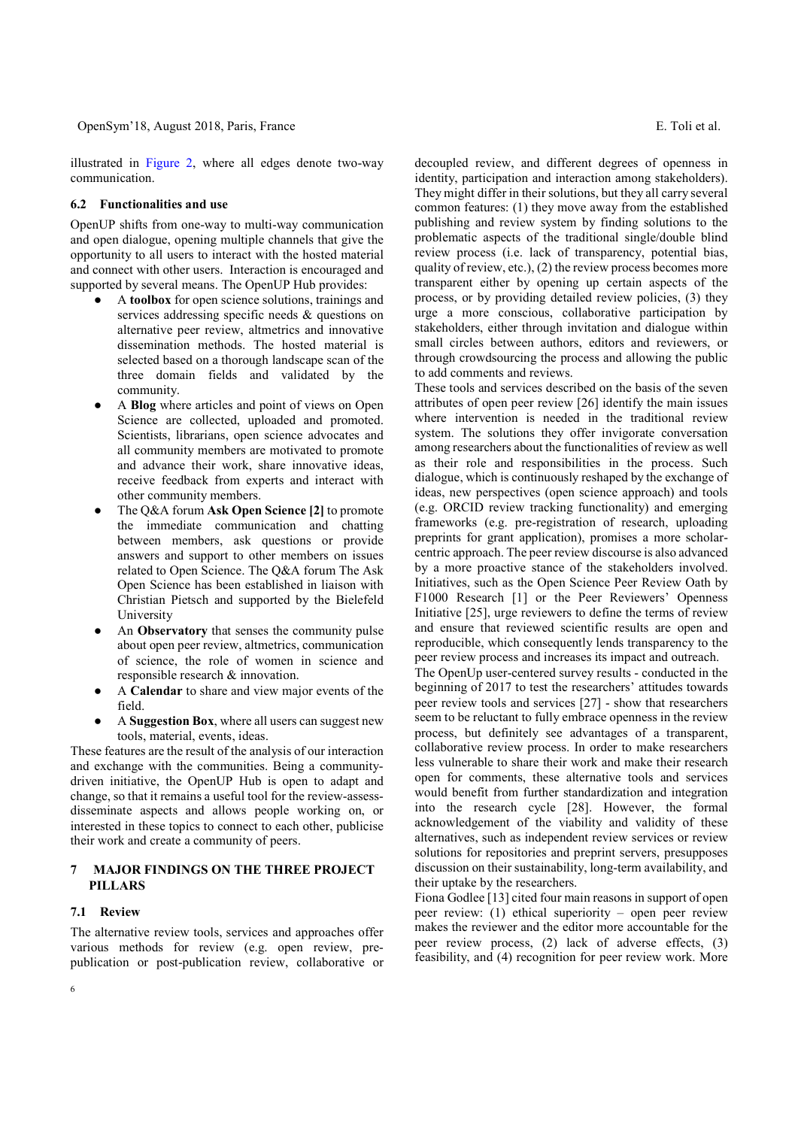illustrated in Figure 2, where all edges denote two-way communication.

#### 6.2 Functionalities and use

OpenUP shifts from one-way to multi-way communication and open dialogue, opening multiple channels that give the opportunity to all users to interact with the hosted material and connect with other users. Interaction is encouraged and supported by several means. The OpenUP Hub provides:

- A toolbox for open science solutions, trainings and services addressing specific needs & questions on alternative peer review, altmetrics and innovative dissemination methods. The hosted material is selected based on a thorough landscape scan of the three domain fields and validated by the community.
- A Blog where articles and point of views on Open Science are collected, uploaded and promoted. Scientists, librarians, open science advocates and all community members are motivated to promote and advance their work, share innovative ideas, receive feedback from experts and interact with other community members.
- The Q&A forum Ask Open Science [2] to promote the immediate communication and chatting between members, ask questions or provide answers and support to other members on issues related to Open Science. The Q&A forum The Ask Open Science has been established in liaison with Christian Pietsch and supported by the Bielefeld University
- An Observatory that senses the community pulse about open peer review, altmetrics, communication of science, the role of women in science and responsible research & innovation.
- A Calendar to share and view major events of the field.
- A Suggestion Box, where all users can suggest new tools, material, events, ideas.

These features are the result of the analysis of our interaction and exchange with the communities. Being a communitydriven initiative, the OpenUP Hub is open to adapt and change, so that it remains a useful tool for the review-assessdisseminate aspects and allows people working on, or interested in these topics to connect to each other, publicise their work and create a community of peers.

## 7 MAJOR FINDINGS ON THE THREE PROJECT PILLARS

#### 7.1 Review

6

The alternative review tools, services and approaches offer various methods for review (e.g. open review, prepublication or post-publication review, collaborative or decoupled review, and different degrees of openness in identity, participation and interaction among stakeholders). They might differ in their solutions, but they all carry several common features: (1) they move away from the established publishing and review system by finding solutions to the problematic aspects of the traditional single/double blind review process (i.e. lack of transparency, potential bias, quality of review, etc.), (2) the review process becomes more transparent either by opening up certain aspects of the process, or by providing detailed review policies, (3) they urge a more conscious, collaborative participation by stakeholders, either through invitation and dialogue within small circles between authors, editors and reviewers, or through crowdsourcing the process and allowing the public to add comments and reviews.

These tools and services described on the basis of the seven attributes of open peer review [26] identify the main issues where intervention is needed in the traditional review system. The solutions they offer invigorate conversation among researchers about the functionalities of review as well as their role and responsibilities in the process. Such dialogue, which is continuously reshaped by the exchange of ideas, new perspectives (open science approach) and tools (e.g. ORCID review tracking functionality) and emerging frameworks (e.g. pre-registration of research, uploading preprints for grant application), promises a more scholarcentric approach. The peer review discourse is also advanced by a more proactive stance of the stakeholders involved. Initiatives, such as the Open Science Peer Review Oath by F1000 Research [1] or the Peer Reviewers' Openness Initiative [25], urge reviewers to define the terms of review and ensure that reviewed scientific results are open and reproducible, which consequently lends transparency to the peer review process and increases its impact and outreach.

The OpenUp user-centered survey results - conducted in the beginning of 2017 to test the researchers' attitudes towards peer review tools and services [27] - show that researchers seem to be reluctant to fully embrace openness in the review process, but definitely see advantages of a transparent, collaborative review process. In order to make researchers less vulnerable to share their work and make their research open for comments, these alternative tools and services would benefit from further standardization and integration into the research cycle [28]. However, the formal acknowledgement of the viability and validity of these alternatives, such as independent review services or review solutions for repositories and preprint servers, presupposes discussion on their sustainability, long-term availability, and their uptake by the researchers.

Fiona Godlee [13] cited four main reasons in support of open peer review: (1) ethical superiority – open peer review makes the reviewer and the editor more accountable for the peer review process, (2) lack of adverse effects, (3) feasibility, and (4) recognition for peer review work. More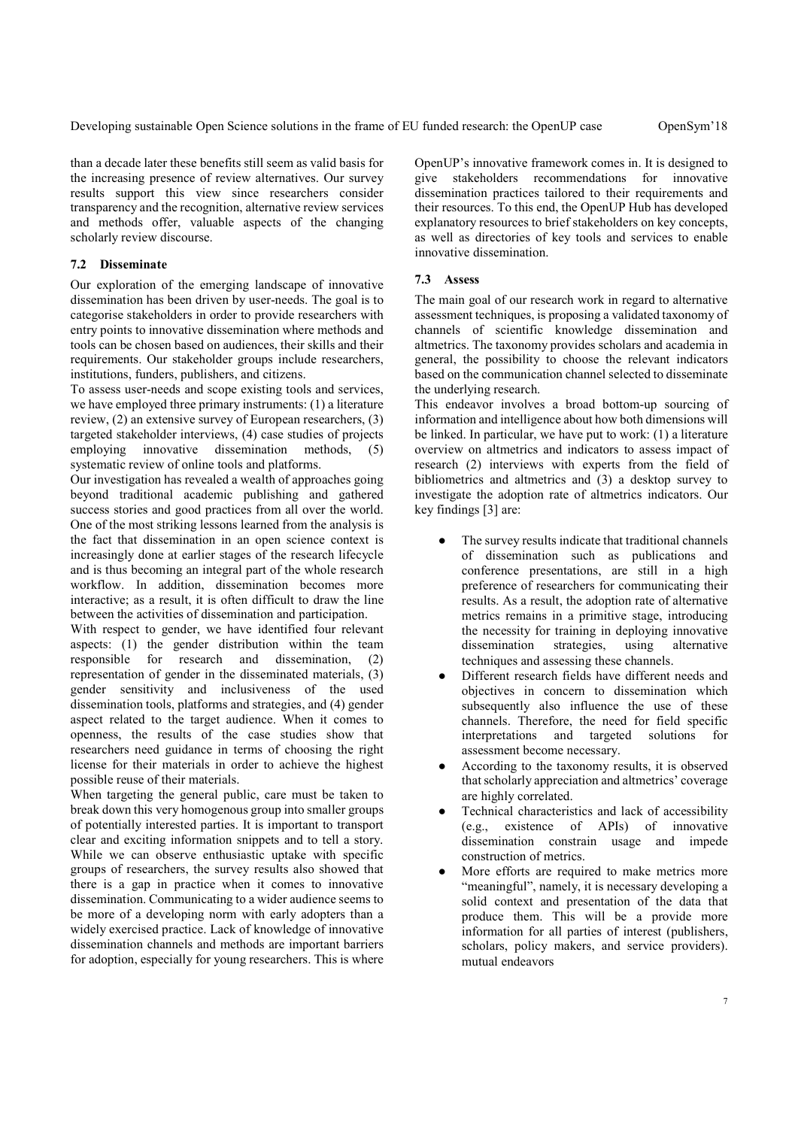than a decade later these benefits still seem as valid basis for the increasing presence of review alternatives. Our survey results support this view since researchers consider transparency and the recognition, alternative review services and methods offer, valuable aspects of the changing scholarly review discourse.

### 7.2 Disseminate

Our exploration of the emerging landscape of innovative dissemination has been driven by user-needs. The goal is to categorise stakeholders in order to provide researchers with entry points to innovative dissemination where methods and tools can be chosen based on audiences, their skills and their requirements. Our stakeholder groups include researchers, institutions, funders, publishers, and citizens.

To assess user-needs and scope existing tools and services, we have employed three primary instruments: (1) a literature review, (2) an extensive survey of European researchers, (3) targeted stakeholder interviews, (4) case studies of projects employing innovative dissemination methods, (5) systematic review of online tools and platforms.

Our investigation has revealed a wealth of approaches going beyond traditional academic publishing and gathered success stories and good practices from all over the world. One of the most striking lessons learned from the analysis is the fact that dissemination in an open science context is increasingly done at earlier stages of the research lifecycle and is thus becoming an integral part of the whole research workflow. In addition, dissemination becomes more interactive; as a result, it is often difficult to draw the line between the activities of dissemination and participation.

With respect to gender, we have identified four relevant aspects: (1) the gender distribution within the team responsible for research and dissemination, (2) representation of gender in the disseminated materials, (3) gender sensitivity and inclusiveness of the used dissemination tools, platforms and strategies, and (4) gender aspect related to the target audience. When it comes to openness, the results of the case studies show that researchers need guidance in terms of choosing the right license for their materials in order to achieve the highest possible reuse of their materials.

When targeting the general public, care must be taken to break down this very homogenous group into smaller groups of potentially interested parties. It is important to transport clear and exciting information snippets and to tell a story. While we can observe enthusiastic uptake with specific groups of researchers, the survey results also showed that there is a gap in practice when it comes to innovative dissemination. Communicating to a wider audience seems to be more of a developing norm with early adopters than a widely exercised practice. Lack of knowledge of innovative dissemination channels and methods are important barriers for adoption, especially for young researchers. This is where OpenUP's innovative framework comes in. It is designed to give stakeholders recommendations for innovative dissemination practices tailored to their requirements and their resources. To this end, the OpenUP Hub has developed explanatory resources to brief stakeholders on key concepts, as well as directories of key tools and services to enable innovative dissemination.

#### 7.3 Assess

The main goal of our research work in regard to alternative assessment techniques, is proposing a validated taxonomy of channels of scientific knowledge dissemination and altmetrics. The taxonomy provides scholars and academia in general, the possibility to choose the relevant indicators based on the communication channel selected to disseminate the underlying research.

This endeavor involves a broad bottom-up sourcing of information and intelligence about how both dimensions will be linked. In particular, we have put to work: (1) a literature overview on altmetrics and indicators to assess impact of research (2) interviews with experts from the field of bibliometrics and altmetrics and (3) a desktop survey to investigate the adoption rate of altmetrics indicators. Our key findings [3] are:

- The survey results indicate that traditional channels of dissemination such as publications and conference presentations, are still in a high preference of researchers for communicating their results. As a result, the adoption rate of alternative metrics remains in a primitive stage, introducing the necessity for training in deploying innovative dissemination strategies, using alternative techniques and assessing these channels.
- Different research fields have different needs and objectives in concern to dissemination which subsequently also influence the use of these channels. Therefore, the need for field specific interpretations and targeted solutions for assessment become necessary.
- According to the taxonomy results, it is observed that scholarly appreciation and altmetrics' coverage are highly correlated.
- Technical characteristics and lack of accessibility (e.g., existence of APIs) of innovative dissemination constrain usage and impede construction of metrics.
- More efforts are required to make metrics more "meaningful", namely, it is necessary developing a solid context and presentation of the data that produce them. This will be a provide more information for all parties of interest (publishers, scholars, policy makers, and service providers). mutual endeavors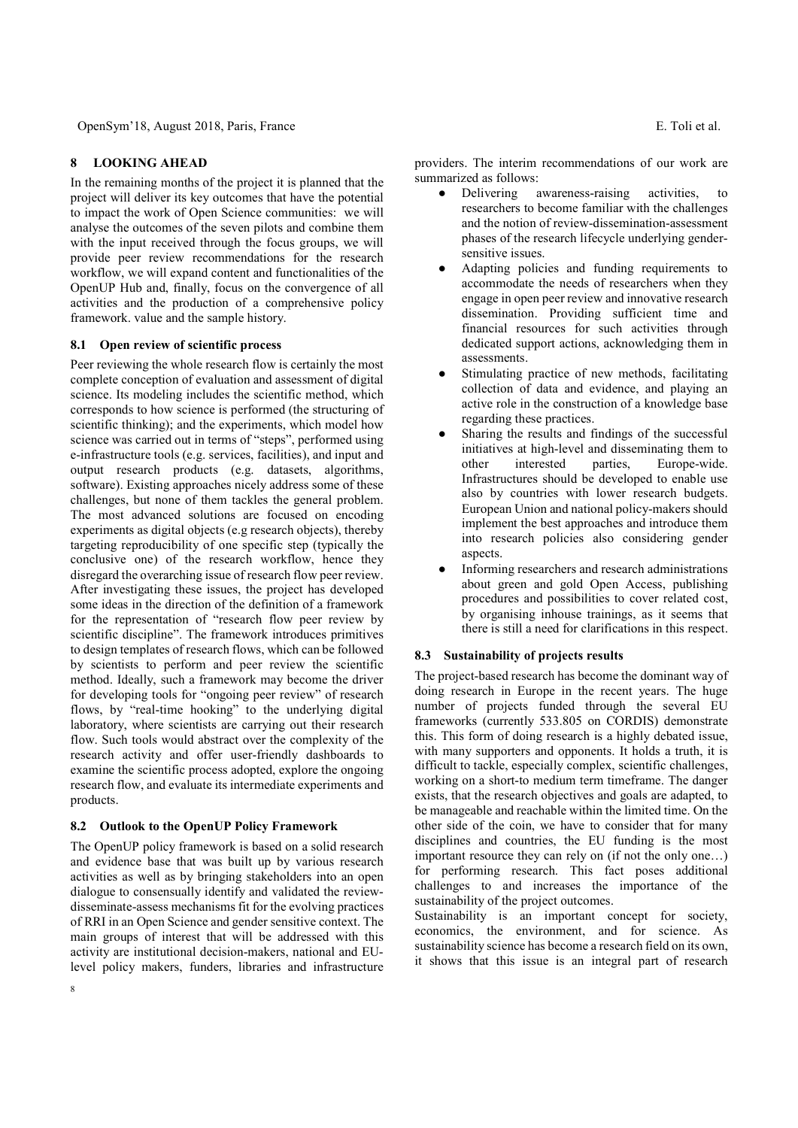## 8 LOOKING AHEAD

In the remaining months of the project it is planned that the project will deliver its key outcomes that have the potential to impact the work of Open Science communities: we will analyse the outcomes of the seven pilots and combine them with the input received through the focus groups, we will provide peer review recommendations for the research workflow, we will expand content and functionalities of the OpenUP Hub and, finally, focus on the convergence of all activities and the production of a comprehensive policy framework. value and the sample history.

#### 8.1 Open review of scientific process

Peer reviewing the whole research flow is certainly the most complete conception of evaluation and assessment of digital science. Its modeling includes the scientific method, which corresponds to how science is performed (the structuring of scientific thinking); and the experiments, which model how science was carried out in terms of "steps", performed using e-infrastructure tools (e.g. services, facilities), and input and output research products (e.g. datasets, algorithms, software). Existing approaches nicely address some of these challenges, but none of them tackles the general problem. The most advanced solutions are focused on encoding experiments as digital objects (e.g research objects), thereby targeting reproducibility of one specific step (typically the conclusive one) of the research workflow, hence they disregard the overarching issue of research flow peer review. After investigating these issues, the project has developed some ideas in the direction of the definition of a framework for the representation of "research flow peer review by scientific discipline". The framework introduces primitives to design templates of research flows, which can be followed by scientists to perform and peer review the scientific method. Ideally, such a framework may become the driver for developing tools for "ongoing peer review" of research flows, by "real-time hooking" to the underlying digital laboratory, where scientists are carrying out their research flow. Such tools would abstract over the complexity of the research activity and offer user-friendly dashboards to examine the scientific process adopted, explore the ongoing research flow, and evaluate its intermediate experiments and products.

#### 8.2 Outlook to the OpenUP Policy Framework

The OpenUP policy framework is based on a solid research and evidence base that was built up by various research activities as well as by bringing stakeholders into an open dialogue to consensually identify and validated the reviewdisseminate-assess mechanisms fit for the evolving practices of RRI in an Open Science and gender sensitive context. The main groups of interest that will be addressed with this activity are institutional decision-makers, national and EUlevel policy makers, funders, libraries and infrastructure

providers. The interim recommendations of our work are summarized as follows:

- Delivering awareness-raising activities, to researchers to become familiar with the challenges and the notion of review-dissemination-assessment phases of the research lifecycle underlying gendersensitive issues.
- Adapting policies and funding requirements to accommodate the needs of researchers when they engage in open peer review and innovative research dissemination. Providing sufficient time and financial resources for such activities through dedicated support actions, acknowledging them in assessments.
- Stimulating practice of new methods, facilitating collection of data and evidence, and playing an active role in the construction of a knowledge base regarding these practices.
- Sharing the results and findings of the successful initiatives at high-level and disseminating them to other interested parties, Europe-wide. Infrastructures should be developed to enable use also by countries with lower research budgets. European Union and national policy-makers should implement the best approaches and introduce them into research policies also considering gender aspects.
- Informing researchers and research administrations about green and gold Open Access, publishing procedures and possibilities to cover related cost, by organising inhouse trainings, as it seems that there is still a need for clarifications in this respect.

#### 8.3 Sustainability of projects results

The project-based research has become the dominant way of doing research in Europe in the recent years. The huge number of projects funded through the several EU frameworks (currently 533.805 on CORDIS) demonstrate this. This form of doing research is a highly debated issue, with many supporters and opponents. It holds a truth, it is difficult to tackle, especially complex, scientific challenges, working on a short-to medium term timeframe. The danger exists, that the research objectives and goals are adapted, to be manageable and reachable within the limited time. On the other side of the coin, we have to consider that for many disciplines and countries, the EU funding is the most important resource they can rely on (if not the only one…) for performing research. This fact poses additional challenges to and increases the importance of the sustainability of the project outcomes.

Sustainability is an important concept for society, economics, the environment, and for science. As sustainability science has become a research field on its own, it shows that this issue is an integral part of research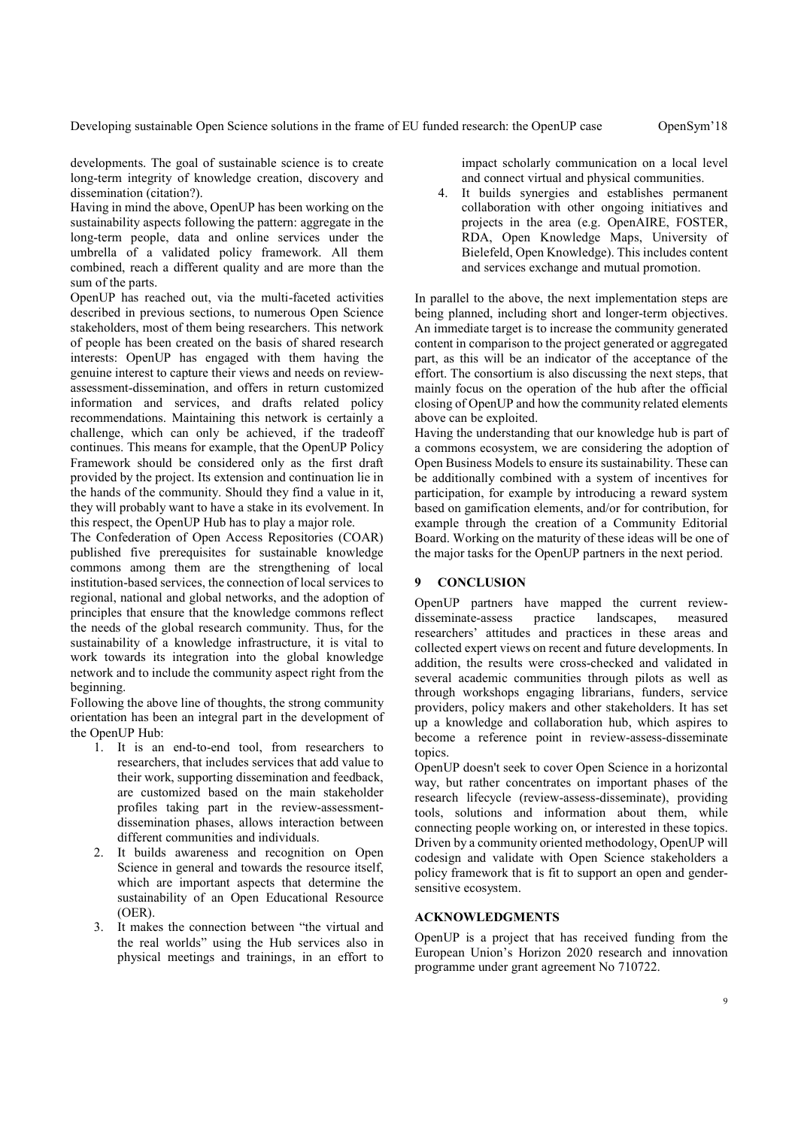developments. The goal of sustainable science is to create long-term integrity of knowledge creation, discovery and dissemination (citation?).

Having in mind the above, OpenUP has been working on the sustainability aspects following the pattern: aggregate in the long-term people, data and online services under the umbrella of a validated policy framework. All them combined, reach a different quality and are more than the sum of the parts.

OpenUP has reached out, via the multi-faceted activities described in previous sections, to numerous Open Science stakeholders, most of them being researchers. This network of people has been created on the basis of shared research interests: OpenUP has engaged with them having the genuine interest to capture their views and needs on reviewassessment-dissemination, and offers in return customized information and services, and drafts related policy recommendations. Maintaining this network is certainly a challenge, which can only be achieved, if the tradeoff continues. This means for example, that the OpenUP Policy Framework should be considered only as the first draft provided by the project. Its extension and continuation lie in the hands of the community. Should they find a value in it, they will probably want to have a stake in its evolvement. In this respect, the OpenUP Hub has to play a major role.

The Confederation of Open Access Repositories (COAR) published five prerequisites for sustainable knowledge commons among them are the strengthening of local institution-based services, the connection of local services to regional, national and global networks, and the adoption of principles that ensure that the knowledge commons reflect the needs of the global research community. Thus, for the sustainability of a knowledge infrastructure, it is vital to work towards its integration into the global knowledge network and to include the community aspect right from the beginning.

Following the above line of thoughts, the strong community orientation has been an integral part in the development of the OpenUP Hub:

- 1. It is an end-to-end tool, from researchers to researchers, that includes services that add value to their work, supporting dissemination and feedback, are customized based on the main stakeholder profiles taking part in the review-assessmentdissemination phases, allows interaction between different communities and individuals.
- 2. It builds awareness and recognition on Open Science in general and towards the resource itself, which are important aspects that determine the sustainability of an Open Educational Resource (OER).
- 3. It makes the connection between "the virtual and the real worlds" using the Hub services also in physical meetings and trainings, in an effort to

impact scholarly communication on a local level and connect virtual and physical communities.

4. It builds synergies and establishes permanent collaboration with other ongoing initiatives and projects in the area (e.g. OpenAIRE, FOSTER, RDA, Open Knowledge Maps, University of Bielefeld, Open Knowledge). This includes content and services exchange and mutual promotion.

In parallel to the above, the next implementation steps are being planned, including short and longer-term objectives. An immediate target is to increase the community generated content in comparison to the project generated or aggregated part, as this will be an indicator of the acceptance of the effort. The consortium is also discussing the next steps, that mainly focus on the operation of the hub after the official closing of OpenUP and how the community related elements above can be exploited.

Having the understanding that our knowledge hub is part of a commons ecosystem, we are considering the adoption of Open Business Models to ensure its sustainability. These can be additionally combined with a system of incentives for participation, for example by introducing a reward system based on gamification elements, and/or for contribution, for example through the creation of a Community Editorial Board. Working on the maturity of these ideas will be one of the major tasks for the OpenUP partners in the next period.

## 9 CONCLUSION

OpenUP partners have mapped the current reviewdisseminate-assess practice landscapes, measured researchers' attitudes and practices in these areas and collected expert views on recent and future developments. In addition, the results were cross-checked and validated in several academic communities through pilots as well as through workshops engaging librarians, funders, service providers, policy makers and other stakeholders. It has set up a knowledge and collaboration hub, which aspires to become a reference point in review-assess-disseminate topics.

OpenUP doesn't seek to cover Open Science in a horizontal way, but rather concentrates on important phases of the research lifecycle (review-assess-disseminate), providing tools, solutions and information about them, while connecting people working on, or interested in these topics. Driven by a community oriented methodology, OpenUP will codesign and validate with Open Science stakeholders a policy framework that is fit to support an open and gendersensitive ecosystem.

## ACKNOWLEDGMENTS

OpenUP is a project that has received funding from the European Union's Horizon 2020 research and innovation programme under grant agreement No 710722.

9